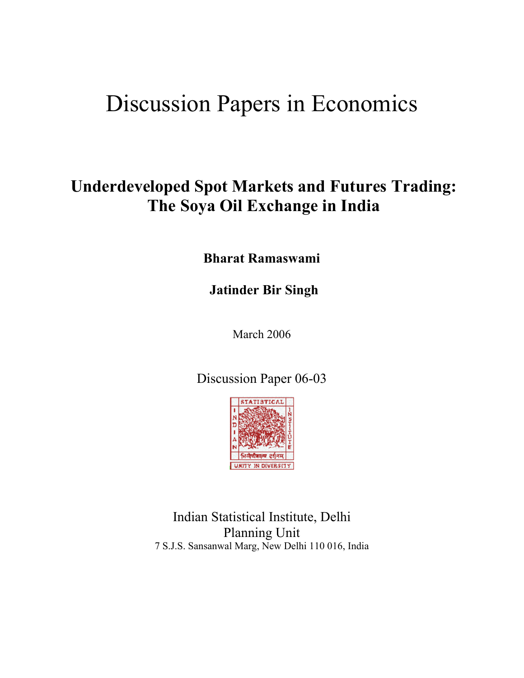# Discussion Papers in Economics

## **Underdeveloped Spot Markets and Futures Trading: The Soya Oil Exchange in India**

**Bharat Ramaswami** 

**Jatinder Bir Singh** 

March 2006

Discussion Paper 06-03



Indian Statistical Institute, Delhi Planning Unit 7 S.J.S. Sansanwal Marg, New Delhi 110 016, India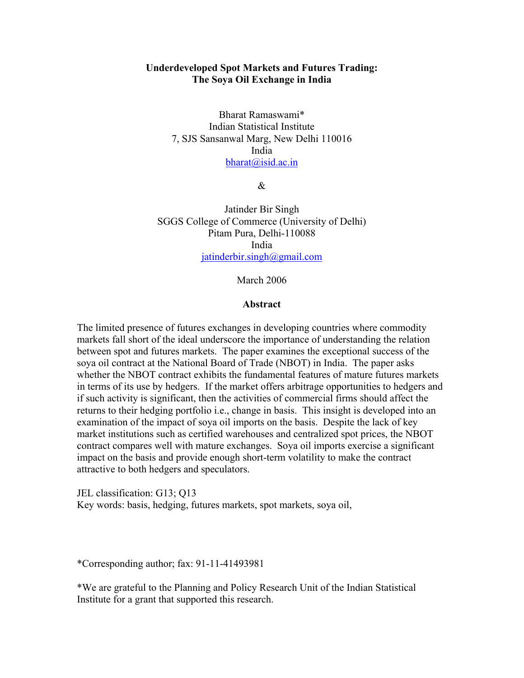#### **Underdeveloped Spot Markets and Futures Trading: The Soya Oil Exchange in India**

Bharat Ramaswami\* Indian Statistical Institute 7, SJS Sansanwal Marg, New Delhi 110016 India bharat $(a)$ isid.ac.in

&

Jatinder Bir Singh SGGS College of Commerce (University of Delhi) Pitam Pura, Delhi-110088 India [jatinderbir.singh@gmail.com](mailto:Jatinderbir.singh@gmail.com)

March 2006

#### **Abstract**

The limited presence of futures exchanges in developing countries where commodity markets fall short of the ideal underscore the importance of understanding the relation between spot and futures markets. The paper examines the exceptional success of the soya oil contract at the National Board of Trade (NBOT) in India. The paper asks whether the NBOT contract exhibits the fundamental features of mature futures markets in terms of its use by hedgers. If the market offers arbitrage opportunities to hedgers and if such activity is significant, then the activities of commercial firms should affect the returns to their hedging portfolio i.e., change in basis. This insight is developed into an examination of the impact of soya oil imports on the basis. Despite the lack of key market institutions such as certified warehouses and centralized spot prices, the NBOT contract compares well with mature exchanges. Soya oil imports exercise a significant impact on the basis and provide enough short-term volatility to make the contract attractive to both hedgers and speculators.

JEL classification: G13; Q13 Key words: basis, hedging, futures markets, spot markets, soya oil,

\*Corresponding author; fax: 91-11-41493981

\*We are grateful to the Planning and Policy Research Unit of the Indian Statistical Institute for a grant that supported this research.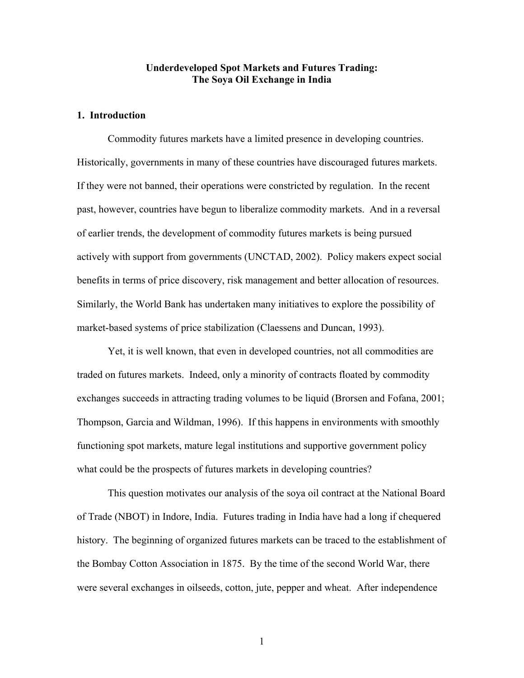#### **Underdeveloped Spot Markets and Futures Trading: The Soya Oil Exchange in India**

#### **1. Introduction**

Commodity futures markets have a limited presence in developing countries. Historically, governments in many of these countries have discouraged futures markets. If they were not banned, their operations were constricted by regulation. In the recent past, however, countries have begun to liberalize commodity markets. And in a reversal of earlier trends, the development of commodity futures markets is being pursued actively with support from governments (UNCTAD, 2002). Policy makers expect social benefits in terms of price discovery, risk management and better allocation of resources. Similarly, the World Bank has undertaken many initiatives to explore the possibility of market-based systems of price stabilization (Claessens and Duncan, 1993).

Yet, it is well known, that even in developed countries, not all commodities are traded on futures markets. Indeed, only a minority of contracts floated by commodity exchanges succeeds in attracting trading volumes to be liquid (Brorsen and Fofana, 2001; Thompson, Garcia and Wildman, 1996). If this happens in environments with smoothly functioning spot markets, mature legal institutions and supportive government policy what could be the prospects of futures markets in developing countries?

 This question motivates our analysis of the soya oil contract at the National Board of Trade (NBOT) in Indore, India. Futures trading in India have had a long if chequered history. The beginning of organized futures markets can be traced to the establishment of the Bombay Cotton Association in 1875. By the time of the second World War, there were several exchanges in oilseeds, cotton, jute, pepper and wheat. After independence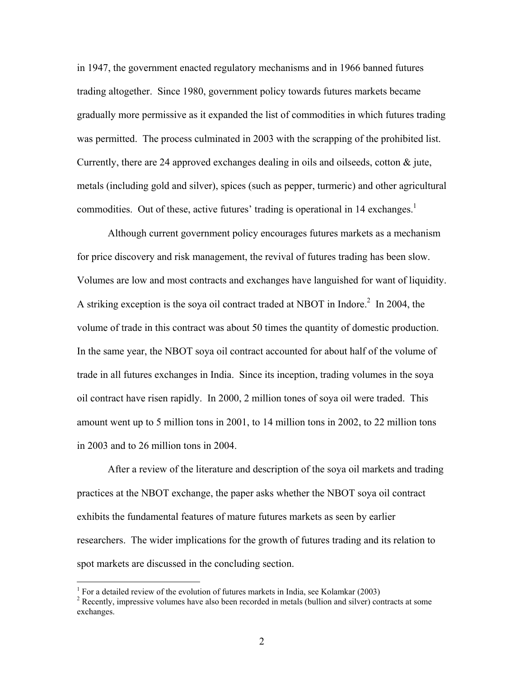in 1947, the government enacted regulatory mechanisms and in 1966 banned futures trading altogether. Since 1980, government policy towards futures markets became gradually more permissive as it expanded the list of commodities in which futures trading was permitted. The process culminated in 2003 with the scrapping of the prohibited list. Currently, there are 24 approved exchanges dealing in oils and oilseeds, cotton  $\&$  jute, metals (including gold and silver), spices (such as pepper, turmeric) and other agricultural commodities. Out of these, active futures' trading is operational in 14 exchanges.<sup>1</sup>

Although current government policy encourages futures markets as a mechanism for price discovery and risk management, the revival of futures trading has been slow. Volumes are low and most contracts and exchanges have languished for want of liquidity. A striking exception is the soya oil contract traded at NBOT in Indore.<sup>[2](#page-3-1)</sup> In 2004, the volume of trade in this contract was about 50 times the quantity of domestic production. In the same year, the NBOT soya oil contract accounted for about half of the volume of trade in all futures exchanges in India. Since its inception, trading volumes in the soya oil contract have risen rapidly. In 2000, 2 million tones of soya oil were traded. This amount went up to 5 million tons in 2001, to 14 million tons in 2002, to 22 million tons in 2003 and to 26 million tons in 2004.

After a review of the literature and description of the soya oil markets and trading practices at the NBOT exchange, the paper asks whether the NBOT soya oil contract exhibits the fundamental features of mature futures markets as seen by earlier researchers. The wider implications for the growth of futures trading and its relation to spot markets are discussed in the concluding section.

 $\overline{a}$ 

<span id="page-3-0"></span><sup>&</sup>lt;sup>1</sup> For a detailed review of the evolution of futures markets in India, see Kolamkar (2003)  $\frac{2}{5}$  Becontly impressive volumes have also been recorded in match (bullion and silver) co

<span id="page-3-1"></span><sup>&</sup>lt;sup>2</sup> Recently, impressive volumes have also been recorded in metals (bullion and silver) contracts at some exchanges.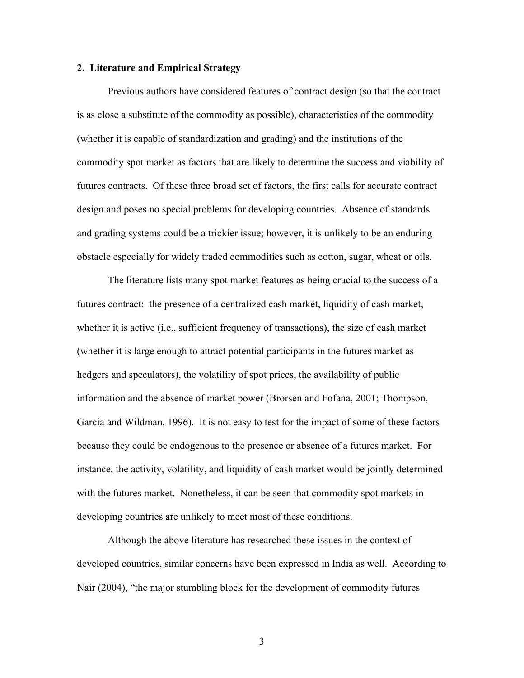#### **2. Literature and Empirical Strategy**

Previous authors have considered features of contract design (so that the contract is as close a substitute of the commodity as possible), characteristics of the commodity (whether it is capable of standardization and grading) and the institutions of the commodity spot market as factors that are likely to determine the success and viability of futures contracts. Of these three broad set of factors, the first calls for accurate contract design and poses no special problems for developing countries. Absence of standards and grading systems could be a trickier issue; however, it is unlikely to be an enduring obstacle especially for widely traded commodities such as cotton, sugar, wheat or oils.

The literature lists many spot market features as being crucial to the success of a futures contract: the presence of a centralized cash market, liquidity of cash market, whether it is active (i.e., sufficient frequency of transactions), the size of cash market (whether it is large enough to attract potential participants in the futures market as hedgers and speculators), the volatility of spot prices, the availability of public information and the absence of market power (Brorsen and Fofana, 2001; Thompson, Garcia and Wildman, 1996). It is not easy to test for the impact of some of these factors because they could be endogenous to the presence or absence of a futures market. For instance, the activity, volatility, and liquidity of cash market would be jointly determined with the futures market. Nonetheless, it can be seen that commodity spot markets in developing countries are unlikely to meet most of these conditions.

Although the above literature has researched these issues in the context of developed countries, similar concerns have been expressed in India as well. According to Nair (2004), "the major stumbling block for the development of commodity futures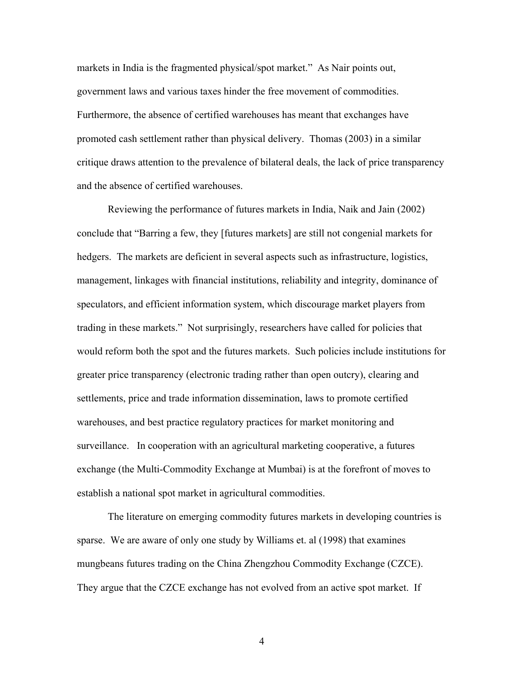markets in India is the fragmented physical/spot market." As Nair points out, government laws and various taxes hinder the free movement of commodities. Furthermore, the absence of certified warehouses has meant that exchanges have promoted cash settlement rather than physical delivery. Thomas (2003) in a similar critique draws attention to the prevalence of bilateral deals, the lack of price transparency and the absence of certified warehouses.

Reviewing the performance of futures markets in India, Naik and Jain (2002) conclude that "Barring a few, they [futures markets] are still not congenial markets for hedgers. The markets are deficient in several aspects such as infrastructure, logistics, management, linkages with financial institutions, reliability and integrity, dominance of speculators, and efficient information system, which discourage market players from trading in these markets." Not surprisingly, researchers have called for policies that would reform both the spot and the futures markets. Such policies include institutions for greater price transparency (electronic trading rather than open outcry), clearing and settlements, price and trade information dissemination, laws to promote certified warehouses, and best practice regulatory practices for market monitoring and surveillance. In cooperation with an agricultural marketing cooperative, a futures exchange (the Multi-Commodity Exchange at Mumbai) is at the forefront of moves to establish a national spot market in agricultural commodities.

The literature on emerging commodity futures markets in developing countries is sparse. We are aware of only one study by Williams et. al (1998) that examines mungbeans futures trading on the China Zhengzhou Commodity Exchange (CZCE). They argue that the CZCE exchange has not evolved from an active spot market. If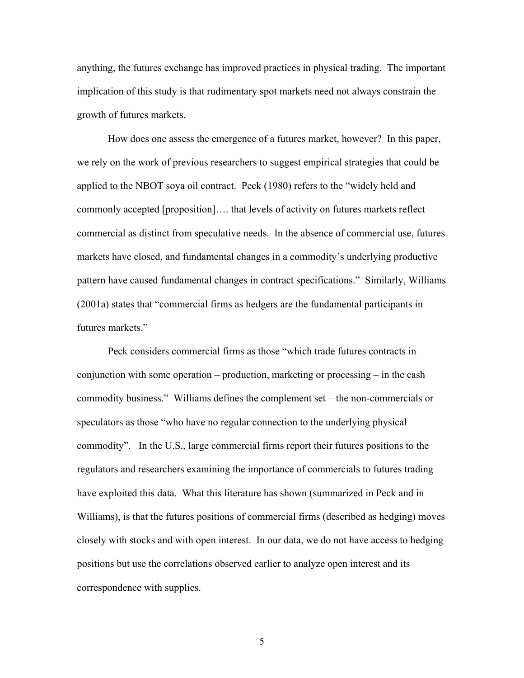anything, the futures exchange has improved practices in physical trading. The important implication of this study is that rudimentary spot markets need not always constrain the growth of futures markets.

How does one assess the emergence of a futures market, however? In this paper, we rely on the work of previous researchers to suggest empirical strategies that could be applied to the NBOT soya oil contract. Peck (1980) refers to the "widely held and commonly accepted [proposition]…. that levels of activity on futures markets reflect commercial as distinct from speculative needs. In the absence of commercial use, futures markets have closed, and fundamental changes in a commodity's underlying productive pattern have caused fundamental changes in contract specifications." Similarly, Williams (2001a) states that "commercial firms as hedgers are the fundamental participants in futures markets."

Peck considers commercial firms as those "which trade futures contracts in conjunction with some operation – production, marketing or processing – in the cash commodity business." Williams defines the complement set – the non-commercials or speculators as those "who have no regular connection to the underlying physical commodity". In the U.S., large commercial firms report their futures positions to the regulators and researchers examining the importance of commercials to futures trading have exploited this data. What this literature has shown (summarized in Peck and in Williams), is that the futures positions of commercial firms (described as hedging) moves closely with stocks and with open interest. In our data, we do not have access to hedging positions but use the correlations observed earlier to analyze open interest and its correspondence with supplies.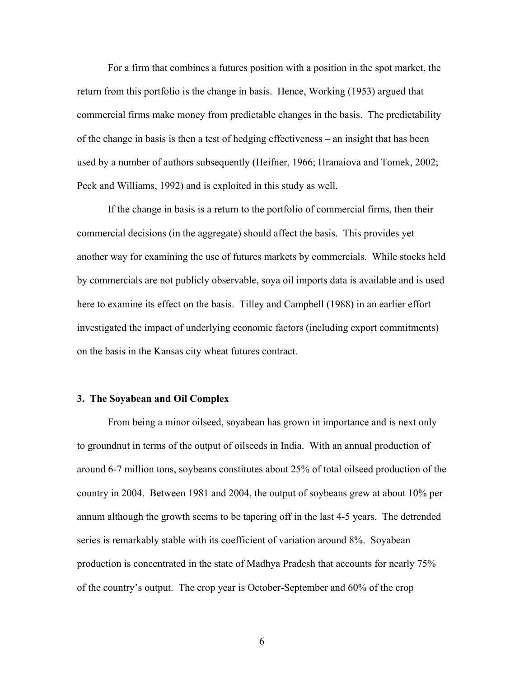For a firm that combines a futures position with a position in the spot market, the return from this portfolio is the change in basis. Hence, Working (1953) argued that commercial firms make money from predictable changes in the basis. The predictability of the change in basis is then a test of hedging effectiveness – an insight that has been used by a number of authors subsequently (Heifner, 1966; Hranaiova and Tomek, 2002; Peck and Williams, 1992) and is exploited in this study as well.

If the change in basis is a return to the portfolio of commercial firms, then their commercial decisions (in the aggregate) should affect the basis. This provides yet another way for examining the use of futures markets by commercials. While stocks held by commercials are not publicly observable, soya oil imports data is available and is used here to examine its effect on the basis. Tilley and Campbell (1988) in an earlier effort investigated the impact of underlying economic factors (including export commitments) on the basis in the Kansas city wheat futures contract.

#### **3. The Soyabean and Oil Complex**

From being a minor oilseed, soyabean has grown in importance and is next only to groundnut in terms of the output of oilseeds in India. With an annual production of around 6-7 million tons, soybeans constitutes about 25% of total oilseed production of the country in 2004. Between 1981 and 2004, the output of soybeans grew at about 10% per annum although the growth seems to be tapering off in the last 4-5 years. The detrended series is remarkably stable with its coefficient of variation around 8%. Soyabean production is concentrated in the state of Madhya Pradesh that accounts for nearly 75% of the country's output. The crop year is October-September and 60% of the crop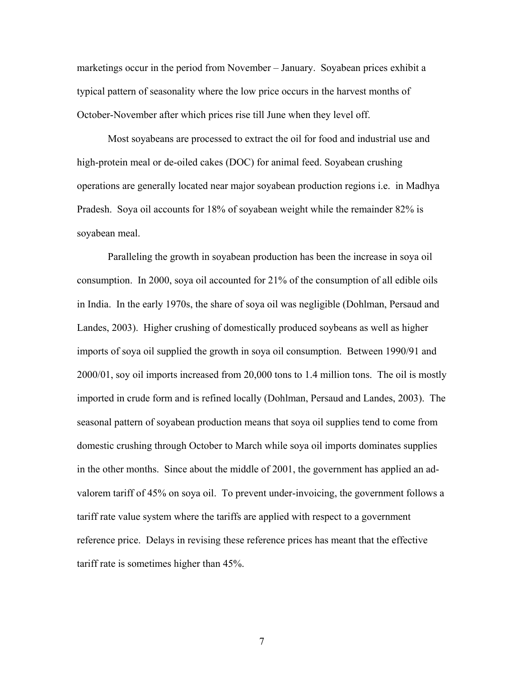marketings occur in the period from November – January. Soyabean prices exhibit a typical pattern of seasonality where the low price occurs in the harvest months of October-November after which prices rise till June when they level off.

Most soyabeans are processed to extract the oil for food and industrial use and high-protein meal or de-oiled cakes (DOC) for animal feed. Soyabean crushing operations are generally located near major soyabean production regions i.e. in Madhya Pradesh. Soya oil accounts for 18% of soyabean weight while the remainder 82% is soyabean meal.

Paralleling the growth in soyabean production has been the increase in soya oil consumption. In 2000, soya oil accounted for 21% of the consumption of all edible oils in India. In the early 1970s, the share of soya oil was negligible (Dohlman, Persaud and Landes, 2003). Higher crushing of domestically produced soybeans as well as higher imports of soya oil supplied the growth in soya oil consumption. Between 1990/91 and 2000/01, soy oil imports increased from 20,000 tons to 1.4 million tons. The oil is mostly imported in crude form and is refined locally (Dohlman, Persaud and Landes, 2003). The seasonal pattern of soyabean production means that soya oil supplies tend to come from domestic crushing through October to March while soya oil imports dominates supplies in the other months. Since about the middle of 2001, the government has applied an advalorem tariff of 45% on soya oil. To prevent under-invoicing, the government follows a tariff rate value system where the tariffs are applied with respect to a government reference price. Delays in revising these reference prices has meant that the effective tariff rate is sometimes higher than 45%.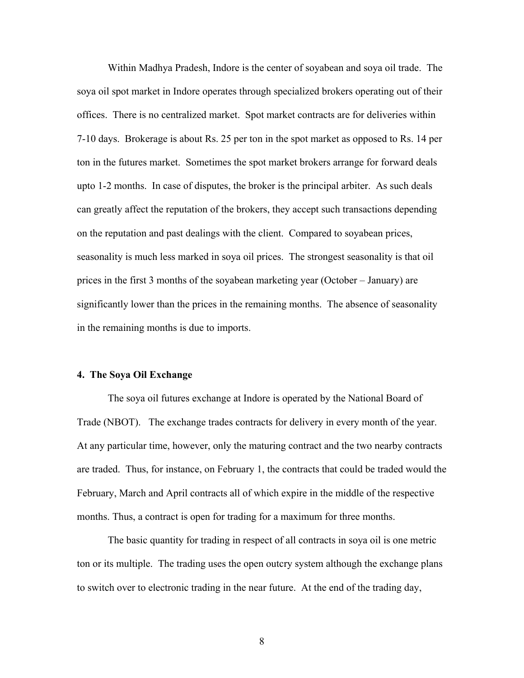Within Madhya Pradesh, Indore is the center of soyabean and soya oil trade. The soya oil spot market in Indore operates through specialized brokers operating out of their offices. There is no centralized market. Spot market contracts are for deliveries within 7-10 days. Brokerage is about Rs. 25 per ton in the spot market as opposed to Rs. 14 per ton in the futures market. Sometimes the spot market brokers arrange for forward deals upto 1-2 months. In case of disputes, the broker is the principal arbiter. As such deals can greatly affect the reputation of the brokers, they accept such transactions depending on the reputation and past dealings with the client. Compared to soyabean prices, seasonality is much less marked in soya oil prices. The strongest seasonality is that oil prices in the first 3 months of the soyabean marketing year (October – January) are significantly lower than the prices in the remaining months. The absence of seasonality in the remaining months is due to imports.

#### **4. The Soya Oil Exchange**

The soya oil futures exchange at Indore is operated by the National Board of Trade (NBOT). The exchange trades contracts for delivery in every month of the year. At any particular time, however, only the maturing contract and the two nearby contracts are traded. Thus, for instance, on February 1, the contracts that could be traded would the February, March and April contracts all of which expire in the middle of the respective months. Thus, a contract is open for trading for a maximum for three months.

The basic quantity for trading in respect of all contracts in soya oil is one metric ton or its multiple. The trading uses the open outcry system although the exchange plans to switch over to electronic trading in the near future. At the end of the trading day,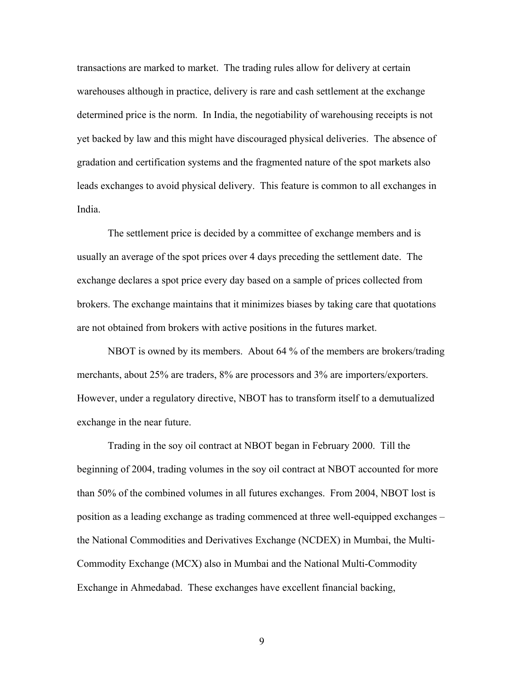transactions are marked to market. The trading rules allow for delivery at certain warehouses although in practice, delivery is rare and cash settlement at the exchange determined price is the norm. In India, the negotiability of warehousing receipts is not yet backed by law and this might have discouraged physical deliveries. The absence of gradation and certification systems and the fragmented nature of the spot markets also leads exchanges to avoid physical delivery. This feature is common to all exchanges in India.

The settlement price is decided by a committee of exchange members and is usually an average of the spot prices over 4 days preceding the settlement date. The exchange declares a spot price every day based on a sample of prices collected from brokers. The exchange maintains that it minimizes biases by taking care that quotations are not obtained from brokers with active positions in the futures market.

NBOT is owned by its members. About 64 % of the members are brokers/trading merchants, about 25% are traders, 8% are processors and 3% are importers/exporters. However, under a regulatory directive, NBOT has to transform itself to a demutualized exchange in the near future.

Trading in the soy oil contract at NBOT began in February 2000. Till the beginning of 2004, trading volumes in the soy oil contract at NBOT accounted for more than 50% of the combined volumes in all futures exchanges. From 2004, NBOT lost is position as a leading exchange as trading commenced at three well-equipped exchanges – the National Commodities and Derivatives Exchange (NCDEX) in Mumbai, the Multi-Commodity Exchange (MCX) also in Mumbai and the National Multi-Commodity Exchange in Ahmedabad. These exchanges have excellent financial backing,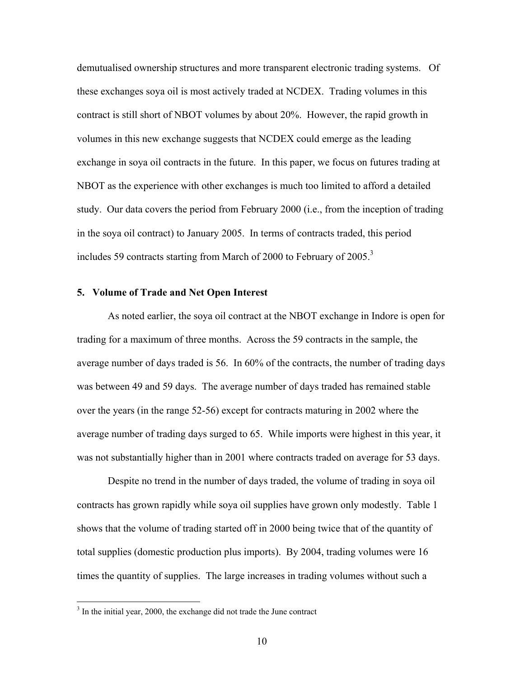demutualised ownership structures and more transparent electronic trading systems. Of these exchanges soya oil is most actively traded at NCDEX. Trading volumes in this contract is still short of NBOT volumes by about 20%. However, the rapid growth in volumes in this new exchange suggests that NCDEX could emerge as the leading exchange in soya oil contracts in the future. In this paper, we focus on futures trading at NBOT as the experience with other exchanges is much too limited to afford a detailed study. Our data covers the period from February 2000 (i.e., from the inception of trading in the soya oil contract) to January 2005. In terms of contracts traded, this period includes 59 contracts starting from March of 2000 to February of 2005.<sup>[3](#page-11-0)</sup>

#### **5. Volume of Trade and Net Open Interest**

As noted earlier, the soya oil contract at the NBOT exchange in Indore is open for trading for a maximum of three months. Across the 59 contracts in the sample, the average number of days traded is 56. In 60% of the contracts, the number of trading days was between 49 and 59 days. The average number of days traded has remained stable over the years (in the range 52-56) except for contracts maturing in 2002 where the average number of trading days surged to 65. While imports were highest in this year, it was not substantially higher than in 2001 where contracts traded on average for 53 days.

Despite no trend in the number of days traded, the volume of trading in soya oil contracts has grown rapidly while soya oil supplies have grown only modestly. Table 1 shows that the volume of trading started off in 2000 being twice that of the quantity of total supplies (domestic production plus imports). By 2004, trading volumes were 16 times the quantity of supplies. The large increases in trading volumes without such a

<u>.</u>

<span id="page-11-0"></span><sup>&</sup>lt;sup>3</sup> In the initial year, 2000, the exchange did not trade the June contract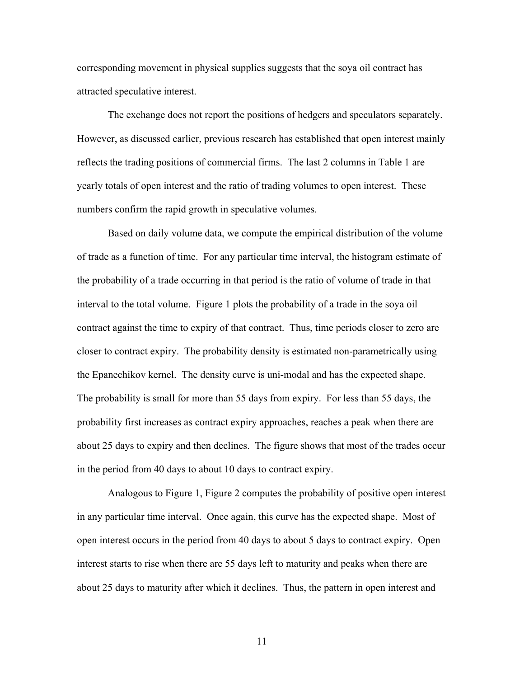corresponding movement in physical supplies suggests that the soya oil contract has attracted speculative interest.

The exchange does not report the positions of hedgers and speculators separately. However, as discussed earlier, previous research has established that open interest mainly reflects the trading positions of commercial firms. The last 2 columns in Table 1 are yearly totals of open interest and the ratio of trading volumes to open interest. These numbers confirm the rapid growth in speculative volumes.

Based on daily volume data, we compute the empirical distribution of the volume of trade as a function of time. For any particular time interval, the histogram estimate of the probability of a trade occurring in that period is the ratio of volume of trade in that interval to the total volume. Figure 1 plots the probability of a trade in the soya oil contract against the time to expiry of that contract. Thus, time periods closer to zero are closer to contract expiry. The probability density is estimated non-parametrically using the Epanechikov kernel. The density curve is uni-modal and has the expected shape. The probability is small for more than 55 days from expiry. For less than 55 days, the probability first increases as contract expiry approaches, reaches a peak when there are about 25 days to expiry and then declines. The figure shows that most of the trades occur in the period from 40 days to about 10 days to contract expiry.

Analogous to Figure 1, Figure 2 computes the probability of positive open interest in any particular time interval. Once again, this curve has the expected shape. Most of open interest occurs in the period from 40 days to about 5 days to contract expiry. Open interest starts to rise when there are 55 days left to maturity and peaks when there are about 25 days to maturity after which it declines. Thus, the pattern in open interest and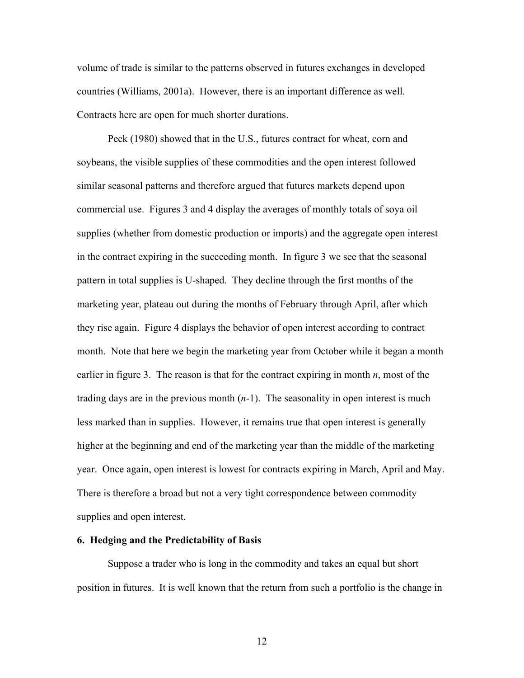volume of trade is similar to the patterns observed in futures exchanges in developed countries (Williams, 2001a). However, there is an important difference as well. Contracts here are open for much shorter durations.

Peck (1980) showed that in the U.S., futures contract for wheat, corn and soybeans, the visible supplies of these commodities and the open interest followed similar seasonal patterns and therefore argued that futures markets depend upon commercial use. Figures 3 and 4 display the averages of monthly totals of soya oil supplies (whether from domestic production or imports) and the aggregate open interest in the contract expiring in the succeeding month. In figure 3 we see that the seasonal pattern in total supplies is U-shaped. They decline through the first months of the marketing year, plateau out during the months of February through April, after which they rise again. Figure 4 displays the behavior of open interest according to contract month. Note that here we begin the marketing year from October while it began a month earlier in figure 3. The reason is that for the contract expiring in month *n*, most of the trading days are in the previous month (*n*-1). The seasonality in open interest is much less marked than in supplies. However, it remains true that open interest is generally higher at the beginning and end of the marketing year than the middle of the marketing year. Once again, open interest is lowest for contracts expiring in March, April and May. There is therefore a broad but not a very tight correspondence between commodity supplies and open interest.

#### **6. Hedging and the Predictability of Basis**

Suppose a trader who is long in the commodity and takes an equal but short position in futures. It is well known that the return from such a portfolio is the change in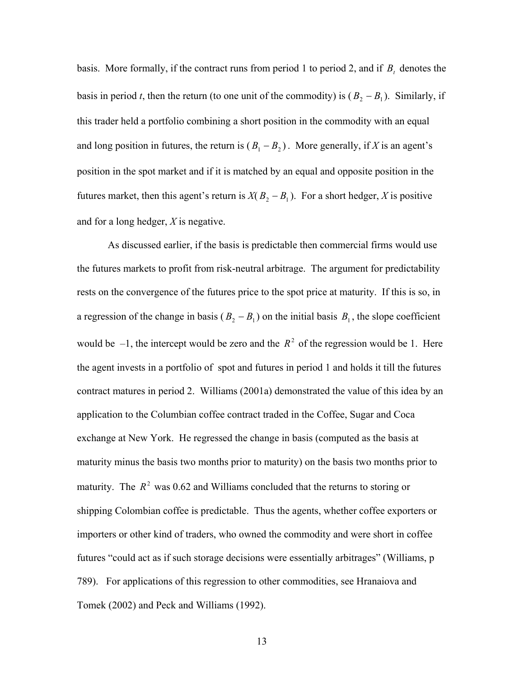basis. More formally, if the contract runs from period 1 to period 2, and if  $B_t$  denotes the basis in period *t*, then the return (to one unit of the commodity) is  $(B_2 - B_1)$ . Similarly, if this trader held a portfolio combining a short position in the commodity with an equal and long position in futures, the return is  $(B_1 - B_2)$ . More generally, if *X* is an agent's position in the spot market and if it is matched by an equal and opposite position in the futures market, then this agent's return is  $X(B_2 - B_1)$ . For a short hedger, *X* is positive and for a long hedger, *X* is negative.

As discussed earlier, if the basis is predictable then commercial firms would use the futures markets to profit from risk-neutral arbitrage. The argument for predictability rests on the convergence of the futures price to the spot price at maturity. If this is so, in a regression of the change in basis  $(B_2 - B_1)$  on the initial basis  $B_1$ , the slope coefficient would be  $-1$ , the intercept would be zero and the  $R^2$  of the regression would be 1. Here the agent invests in a portfolio of spot and futures in period 1 and holds it till the futures contract matures in period 2. Williams (2001a) demonstrated the value of this idea by an application to the Columbian coffee contract traded in the Coffee, Sugar and Coca exchange at New York. He regressed the change in basis (computed as the basis at maturity minus the basis two months prior to maturity) on the basis two months prior to maturity. The  $R^2$  was 0.62 and Williams concluded that the returns to storing or shipping Colombian coffee is predictable. Thus the agents, whether coffee exporters or importers or other kind of traders, who owned the commodity and were short in coffee futures "could act as if such storage decisions were essentially arbitrages" (Williams, p 789). For applications of this regression to other commodities, see Hranaiova and Tomek (2002) and Peck and Williams (1992).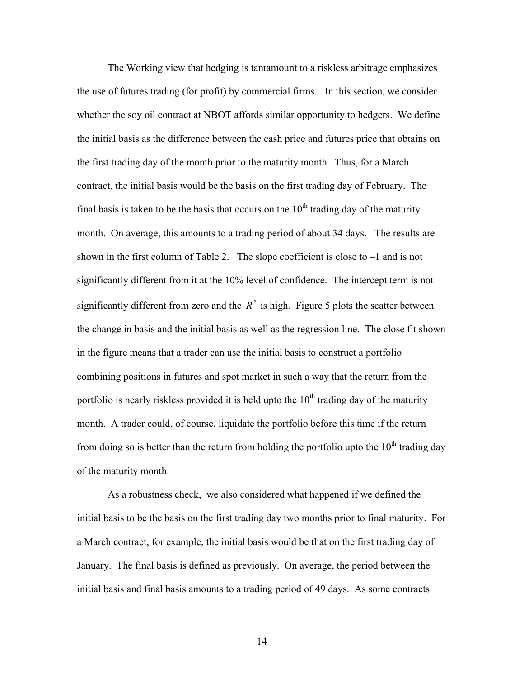The Working view that hedging is tantamount to a riskless arbitrage emphasizes the use of futures trading (for profit) by commercial firms. In this section, we consider whether the soy oil contract at NBOT affords similar opportunity to hedgers. We define the initial basis as the difference between the cash price and futures price that obtains on the first trading day of the month prior to the maturity month. Thus, for a March contract, the initial basis would be the basis on the first trading day of February. The final basis is taken to be the basis that occurs on the  $10<sup>th</sup>$  trading day of the maturity month. On average, this amounts to a trading period of about 34 days. The results are shown in the first column of Table 2. The slope coefficient is close to –1 and is not significantly different from it at the 10% level of confidence. The intercept term is not significantly different from zero and the  $R^2$  is high. Figure 5 plots the scatter between the change in basis and the initial basis as well as the regression line. The close fit shown in the figure means that a trader can use the initial basis to construct a portfolio combining positions in futures and spot market in such a way that the return from the portfolio is nearly riskless provided it is held upto the  $10<sup>th</sup>$  trading day of the maturity month. A trader could, of course, liquidate the portfolio before this time if the return from doing so is better than the return from holding the portfolio upto the  $10<sup>th</sup>$  trading day of the maturity month.

As a robustness check, we also considered what happened if we defined the initial basis to be the basis on the first trading day two months prior to final maturity. For a March contract, for example, the initial basis would be that on the first trading day of January. The final basis is defined as previously. On average, the period between the initial basis and final basis amounts to a trading period of 49 days. As some contracts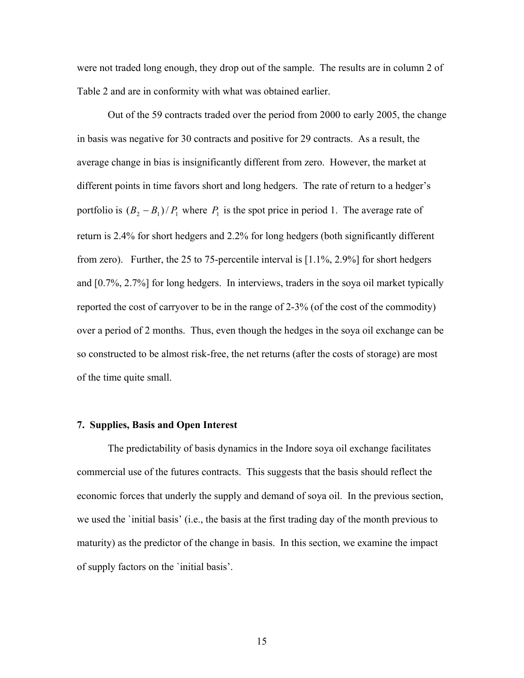were not traded long enough, they drop out of the sample. The results are in column 2 of Table 2 and are in conformity with what was obtained earlier.

Out of the 59 contracts traded over the period from 2000 to early 2005, the change in basis was negative for 30 contracts and positive for 29 contracts. As a result, the average change in bias is insignificantly different from zero. However, the market at different points in time favors short and long hedgers. The rate of return to a hedger's portfolio is  $(B_2 - B_1)/P_1$  where  $P_1$  is the spot price in period 1. The average rate of return is 2.4% for short hedgers and 2.2% for long hedgers (both significantly different from zero). Further, the 25 to 75-percentile interval is [1.1%, 2.9%] for short hedgers and [0.7%, 2.7%] for long hedgers. In interviews, traders in the soya oil market typically reported the cost of carryover to be in the range of 2-3% (of the cost of the commodity) over a period of 2 months. Thus, even though the hedges in the soya oil exchange can be so constructed to be almost risk-free, the net returns (after the costs of storage) are most of the time quite small.

#### **7. Supplies, Basis and Open Interest**

The predictability of basis dynamics in the Indore soya oil exchange facilitates commercial use of the futures contracts. This suggests that the basis should reflect the economic forces that underly the supply and demand of soya oil. In the previous section, we used the `initial basis' (i.e., the basis at the first trading day of the month previous to maturity) as the predictor of the change in basis. In this section, we examine the impact of supply factors on the `initial basis'.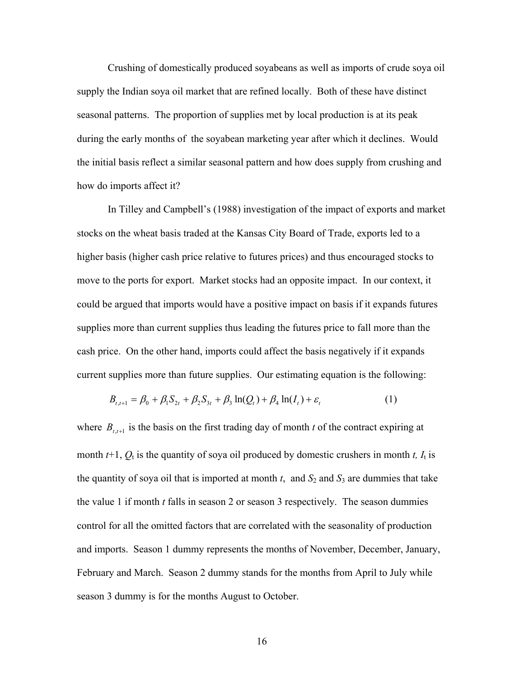Crushing of domestically produced soyabeans as well as imports of crude soya oil supply the Indian soya oil market that are refined locally. Both of these have distinct seasonal patterns. The proportion of supplies met by local production is at its peak during the early months of the soyabean marketing year after which it declines. Would the initial basis reflect a similar seasonal pattern and how does supply from crushing and how do imports affect it?

In Tilley and Campbell's (1988) investigation of the impact of exports and market stocks on the wheat basis traded at the Kansas City Board of Trade, exports led to a higher basis (higher cash price relative to futures prices) and thus encouraged stocks to move to the ports for export. Market stocks had an opposite impact. In our context, it could be argued that imports would have a positive impact on basis if it expands futures supplies more than current supplies thus leading the futures price to fall more than the cash price. On the other hand, imports could affect the basis negatively if it expands current supplies more than future supplies. Our estimating equation is the following:

$$
B_{t,t+1} = \beta_0 + \beta_1 S_{2t} + \beta_2 S_{3t} + \beta_3 \ln(Q_t) + \beta_4 \ln(I_t) + \varepsilon_t
$$
 (1)

where  $B_{t,t+1}$  is the basis on the first trading day of month *t* of the contract expiring at month  $t+1$ ,  $Q_t$  is the quantity of soya oil produced by domestic crushers in month  $t$ ,  $I_t$  is the quantity of soya oil that is imported at month  $t$ , and  $S_2$  and  $S_3$  are dummies that take the value 1 if month *t* falls in season 2 or season 3 respectively. The season dummies control for all the omitted factors that are correlated with the seasonality of production and imports. Season 1 dummy represents the months of November, December, January, February and March. Season 2 dummy stands for the months from April to July while season 3 dummy is for the months August to October.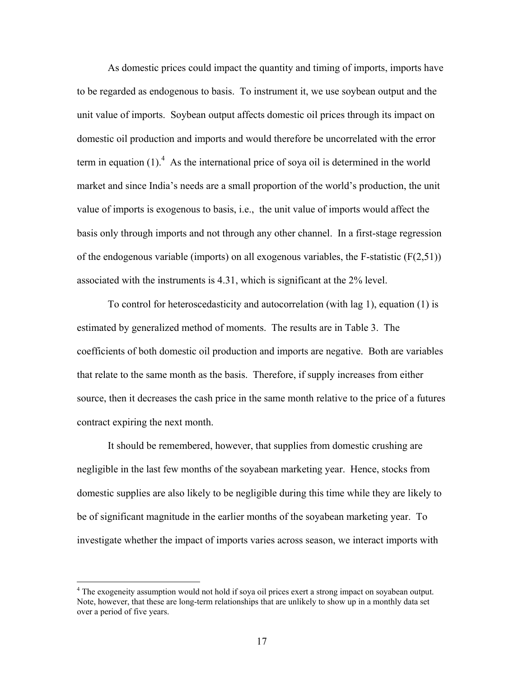As domestic prices could impact the quantity and timing of imports, imports have to be regarded as endogenous to basis. To instrument it, we use soybean output and the unit value of imports. Soybean output affects domestic oil prices through its impact on domestic oil production and imports and would therefore be uncorrelated with the error term in equation  $(1)$ .<sup>[4](#page-18-0)</sup> As the international price of soya oil is determined in the world market and since India's needs are a small proportion of the world's production, the unit value of imports is exogenous to basis, i.e., the unit value of imports would affect the basis only through imports and not through any other channel. In a first-stage regression of the endogenous variable (imports) on all exogenous variables, the F-statistic  $(F(2,51))$ associated with the instruments is 4.31, which is significant at the 2% level.

To control for heteroscedasticity and autocorrelation (with lag 1), equation (1) is estimated by generalized method of moments. The results are in Table 3. The coefficients of both domestic oil production and imports are negative. Both are variables that relate to the same month as the basis. Therefore, if supply increases from either source, then it decreases the cash price in the same month relative to the price of a futures contract expiring the next month.

It should be remembered, however, that supplies from domestic crushing are negligible in the last few months of the soyabean marketing year. Hence, stocks from domestic supplies are also likely to be negligible during this time while they are likely to be of significant magnitude in the earlier months of the soyabean marketing year. To investigate whether the impact of imports varies across season, we interact imports with

 $\overline{a}$ 

<span id="page-18-0"></span><sup>&</sup>lt;sup>4</sup> The exogeneity assumption would not hold if soya oil prices exert a strong impact on soyabean output. Note, however, that these are long-term relationships that are unlikely to show up in a monthly data set over a period of five years.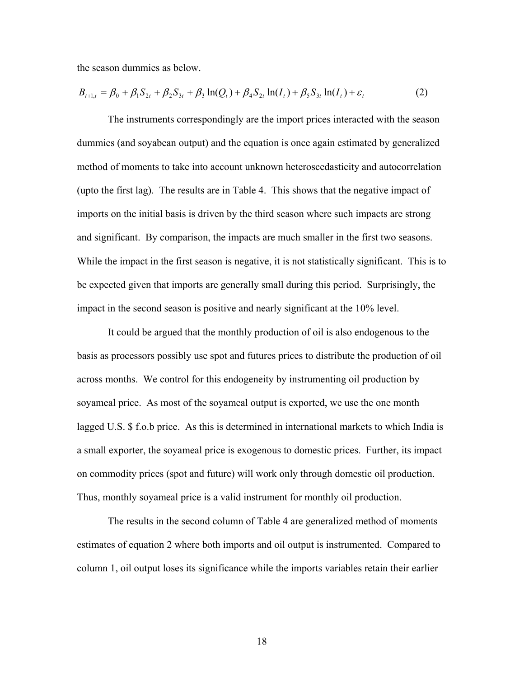the season dummies as below.

$$
B_{t+1,t} = \beta_0 + \beta_1 S_{2t} + \beta_2 S_{3t} + \beta_3 \ln(Q_t) + \beta_4 S_{2t} \ln(I_t) + \beta_5 S_{3t} \ln(I_t) + \varepsilon_t
$$
 (2)

The instruments correspondingly are the import prices interacted with the season dummies (and soyabean output) and the equation is once again estimated by generalized method of moments to take into account unknown heteroscedasticity and autocorrelation (upto the first lag). The results are in Table 4. This shows that the negative impact of imports on the initial basis is driven by the third season where such impacts are strong and significant. By comparison, the impacts are much smaller in the first two seasons. While the impact in the first season is negative, it is not statistically significant. This is to be expected given that imports are generally small during this period. Surprisingly, the impact in the second season is positive and nearly significant at the 10% level.

It could be argued that the monthly production of oil is also endogenous to the basis as processors possibly use spot and futures prices to distribute the production of oil across months. We control for this endogeneity by instrumenting oil production by soyameal price. As most of the soyameal output is exported, we use the one month lagged U.S. \$ f.o.b price. As this is determined in international markets to which India is a small exporter, the soyameal price is exogenous to domestic prices. Further, its impact on commodity prices (spot and future) will work only through domestic oil production. Thus, monthly soyameal price is a valid instrument for monthly oil production.

The results in the second column of Table 4 are generalized method of moments estimates of equation 2 where both imports and oil output is instrumented. Compared to column 1, oil output loses its significance while the imports variables retain their earlier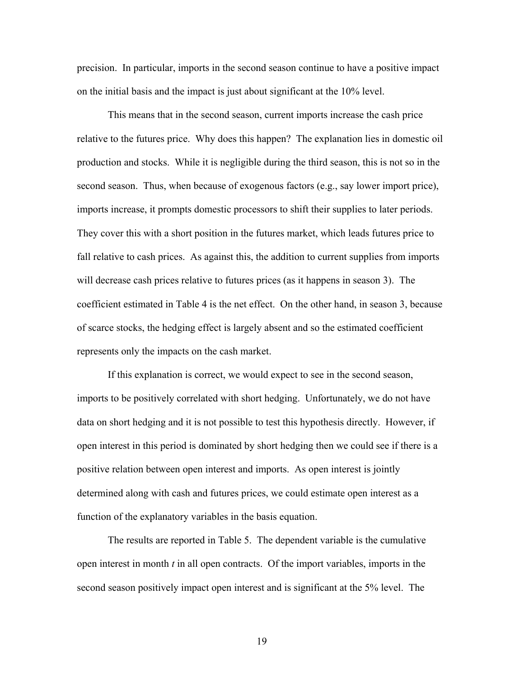precision. In particular, imports in the second season continue to have a positive impact on the initial basis and the impact is just about significant at the 10% level.

This means that in the second season, current imports increase the cash price relative to the futures price. Why does this happen? The explanation lies in domestic oil production and stocks. While it is negligible during the third season, this is not so in the second season. Thus, when because of exogenous factors (e.g., say lower import price), imports increase, it prompts domestic processors to shift their supplies to later periods. They cover this with a short position in the futures market, which leads futures price to fall relative to cash prices. As against this, the addition to current supplies from imports will decrease cash prices relative to futures prices (as it happens in season 3). The coefficient estimated in Table 4 is the net effect. On the other hand, in season 3, because of scarce stocks, the hedging effect is largely absent and so the estimated coefficient represents only the impacts on the cash market.

If this explanation is correct, we would expect to see in the second season, imports to be positively correlated with short hedging. Unfortunately, we do not have data on short hedging and it is not possible to test this hypothesis directly. However, if open interest in this period is dominated by short hedging then we could see if there is a positive relation between open interest and imports. As open interest is jointly determined along with cash and futures prices, we could estimate open interest as a function of the explanatory variables in the basis equation.

The results are reported in Table 5. The dependent variable is the cumulative open interest in month  $t$  in all open contracts. Of the import variables, imports in the second season positively impact open interest and is significant at the 5% level. The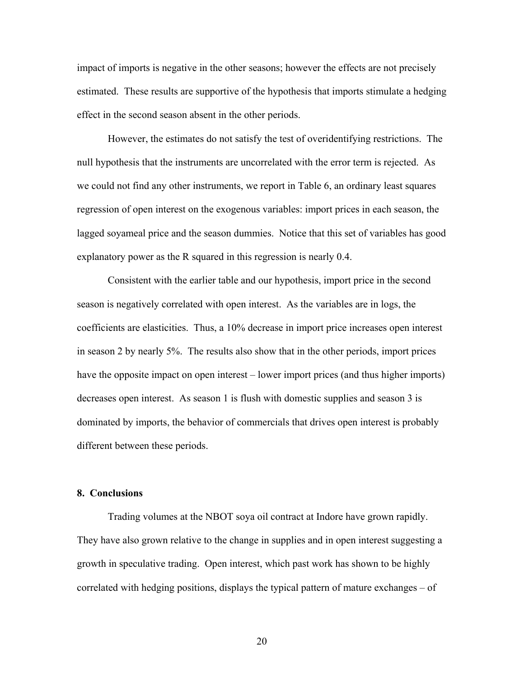impact of imports is negative in the other seasons; however the effects are not precisely estimated. These results are supportive of the hypothesis that imports stimulate a hedging effect in the second season absent in the other periods.

However, the estimates do not satisfy the test of overidentifying restrictions. The null hypothesis that the instruments are uncorrelated with the error term is rejected. As we could not find any other instruments, we report in Table 6, an ordinary least squares regression of open interest on the exogenous variables: import prices in each season, the lagged soyameal price and the season dummies. Notice that this set of variables has good explanatory power as the R squared in this regression is nearly 0.4.

Consistent with the earlier table and our hypothesis, import price in the second season is negatively correlated with open interest. As the variables are in logs, the coefficients are elasticities. Thus, a 10% decrease in import price increases open interest in season 2 by nearly 5%. The results also show that in the other periods, import prices have the opposite impact on open interest – lower import prices (and thus higher imports) decreases open interest. As season 1 is flush with domestic supplies and season 3 is dominated by imports, the behavior of commercials that drives open interest is probably different between these periods.

#### **8. Conclusions**

Trading volumes at the NBOT soya oil contract at Indore have grown rapidly. They have also grown relative to the change in supplies and in open interest suggesting a growth in speculative trading. Open interest, which past work has shown to be highly correlated with hedging positions, displays the typical pattern of mature exchanges – of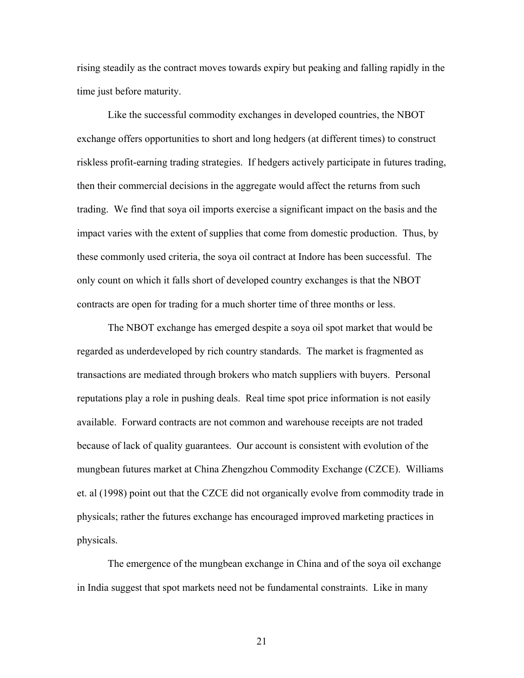rising steadily as the contract moves towards expiry but peaking and falling rapidly in the time just before maturity.

Like the successful commodity exchanges in developed countries, the NBOT exchange offers opportunities to short and long hedgers (at different times) to construct riskless profit-earning trading strategies. If hedgers actively participate in futures trading, then their commercial decisions in the aggregate would affect the returns from such trading. We find that soya oil imports exercise a significant impact on the basis and the impact varies with the extent of supplies that come from domestic production. Thus, by these commonly used criteria, the soya oil contract at Indore has been successful. The only count on which it falls short of developed country exchanges is that the NBOT contracts are open for trading for a much shorter time of three months or less.

The NBOT exchange has emerged despite a soya oil spot market that would be regarded as underdeveloped by rich country standards. The market is fragmented as transactions are mediated through brokers who match suppliers with buyers. Personal reputations play a role in pushing deals. Real time spot price information is not easily available. Forward contracts are not common and warehouse receipts are not traded because of lack of quality guarantees. Our account is consistent with evolution of the mungbean futures market at China Zhengzhou Commodity Exchange (CZCE). Williams et. al (1998) point out that the CZCE did not organically evolve from commodity trade in physicals; rather the futures exchange has encouraged improved marketing practices in physicals.

The emergence of the mungbean exchange in China and of the soya oil exchange in India suggest that spot markets need not be fundamental constraints. Like in many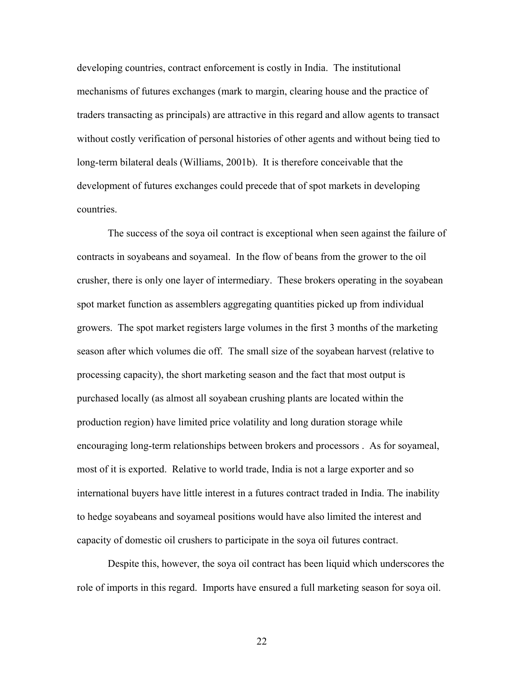developing countries, contract enforcement is costly in India. The institutional mechanisms of futures exchanges (mark to margin, clearing house and the practice of traders transacting as principals) are attractive in this regard and allow agents to transact without costly verification of personal histories of other agents and without being tied to long-term bilateral deals (Williams, 2001b). It is therefore conceivable that the development of futures exchanges could precede that of spot markets in developing countries.

The success of the soya oil contract is exceptional when seen against the failure of contracts in soyabeans and soyameal. In the flow of beans from the grower to the oil crusher, there is only one layer of intermediary. These brokers operating in the soyabean spot market function as assemblers aggregating quantities picked up from individual growers. The spot market registers large volumes in the first 3 months of the marketing season after which volumes die off. The small size of the soyabean harvest (relative to processing capacity), the short marketing season and the fact that most output is purchased locally (as almost all soyabean crushing plants are located within the production region) have limited price volatility and long duration storage while encouraging long-term relationships between brokers and processors . As for soyameal, most of it is exported. Relative to world trade, India is not a large exporter and so international buyers have little interest in a futures contract traded in India. The inability to hedge soyabeans and soyameal positions would have also limited the interest and capacity of domestic oil crushers to participate in the soya oil futures contract.

Despite this, however, the soya oil contract has been liquid which underscores the role of imports in this regard. Imports have ensured a full marketing season for soya oil.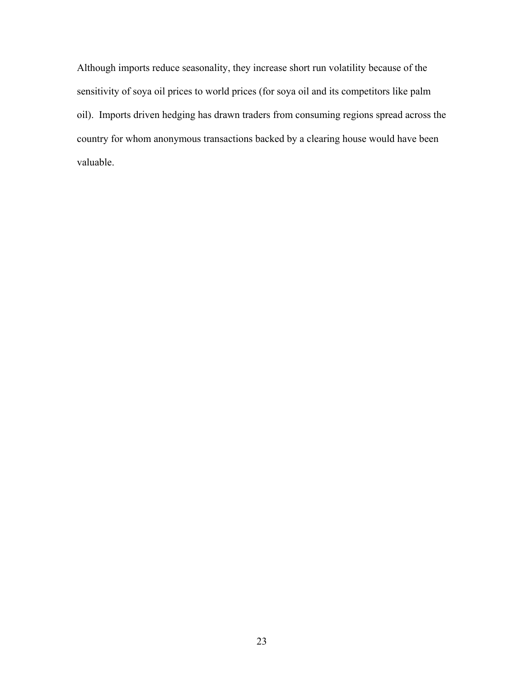Although imports reduce seasonality, they increase short run volatility because of the sensitivity of soya oil prices to world prices (for soya oil and its competitors like palm oil). Imports driven hedging has drawn traders from consuming regions spread across the country for whom anonymous transactions backed by a clearing house would have been valuable.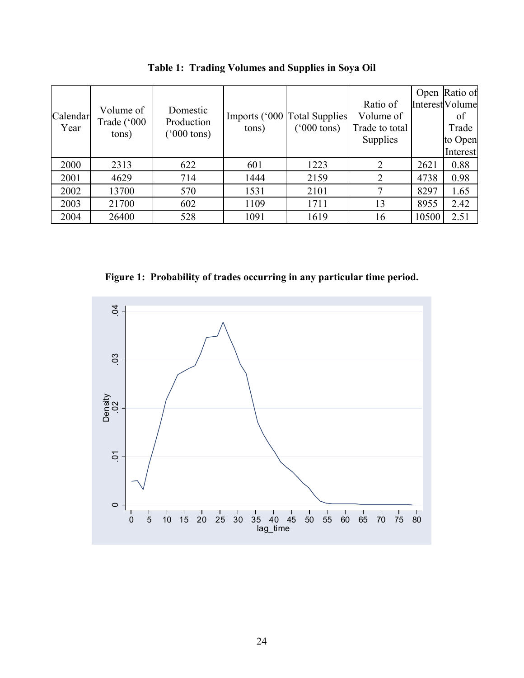| Calendar<br>Year | Volume of<br>Trade ('000<br>tons) | Domestic<br>Production<br>$(000 \text{ tons})$ | tons) | Imports ('000   Total Supplies<br>$(5000 \text{ tons})$ | Ratio of<br>Volume of<br>Trade to total<br><b>Supplies</b> |       | Open Ratio of<br><b>Interest Volume</b><br>of<br>Trade<br>to Open<br>Interest |
|------------------|-----------------------------------|------------------------------------------------|-------|---------------------------------------------------------|------------------------------------------------------------|-------|-------------------------------------------------------------------------------|
| 2000             | 2313                              | 622                                            | 601   | 1223                                                    | $\overline{2}$                                             | 2621  | 0.88                                                                          |
| 2001             | 4629                              | 714                                            | 1444  | 2159                                                    | $\overline{2}$                                             | 4738  | 0.98                                                                          |
| 2002             | 13700                             | 570                                            | 1531  | 2101                                                    |                                                            | 8297  | 1.65                                                                          |
| 2003             | 21700                             | 602                                            | 1109  | 1711                                                    | 13                                                         | 8955  | 2.42                                                                          |
| 2004             | 26400                             | 528                                            | 1091  | 1619                                                    | 16                                                         | 10500 | 2.51                                                                          |

**Table 1: Trading Volumes and Supplies in Soya Oil** 

**Figure 1: Probability of trades occurring in any particular time period.** 

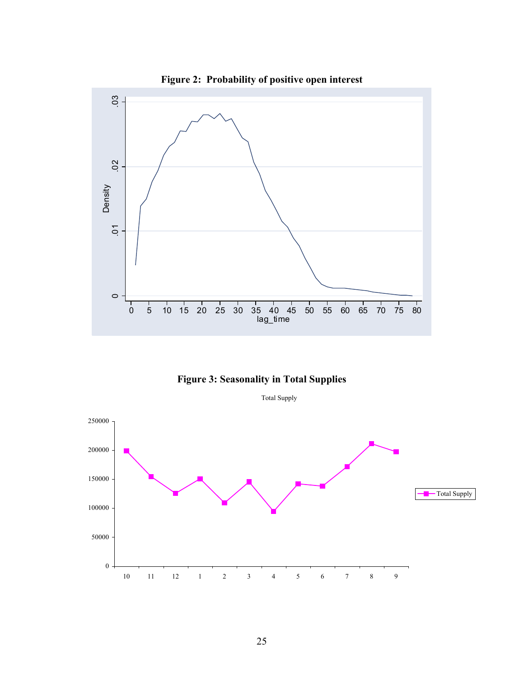

**Figure 2: Probability of positive open interest**

**Figure 3: Seasonality in Total Supplies** 

Total Supply

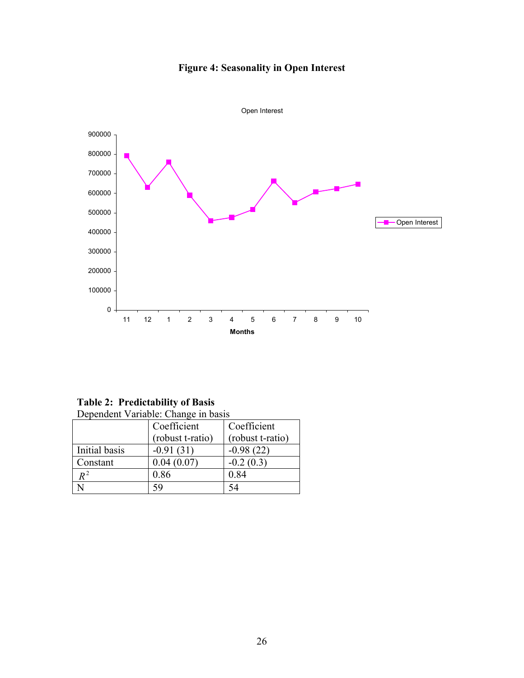



**Table 2: Predictability of Basis** 

|  | Dependent Variable: Change in basis |  |  |
|--|-------------------------------------|--|--|
|  |                                     |  |  |

|               | Coefficient      | Coefficient      |
|---------------|------------------|------------------|
|               | (robust t-ratio) | (robust t-ratio) |
| Initial basis | $-0.91(31)$      | $-0.98(22)$      |
| Constant      | 0.04(0.07)       | $-0.2(0.3)$      |
| $R^2$         | 0.86             | 0.84             |
|               | 59               |                  |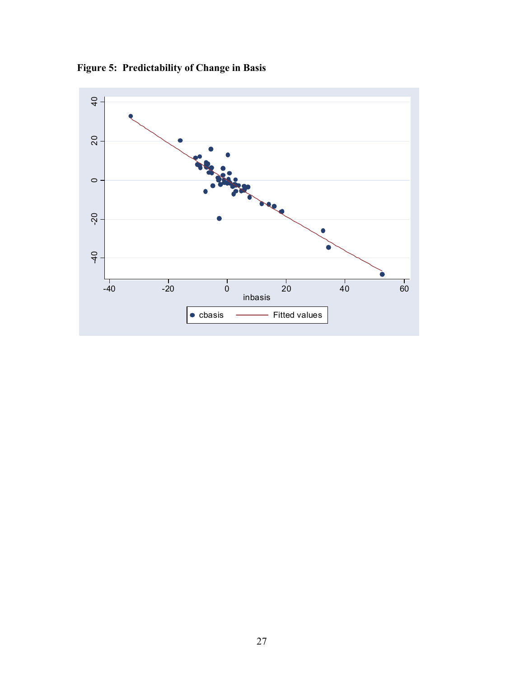

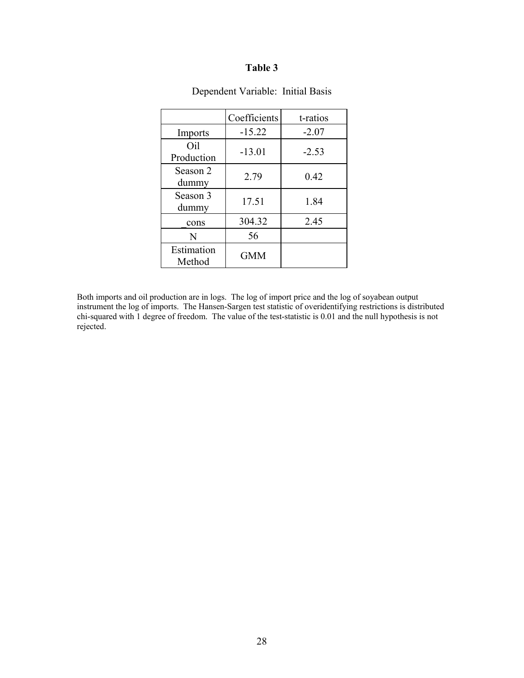|                      | Coefficients | t-ratios |
|----------------------|--------------|----------|
| Imports              | $-15.22$     | $-2.07$  |
| Oil<br>Production    | $-13.01$     | $-2.53$  |
| Season 2<br>dummy    | 2.79         | 0.42     |
| Season 3<br>dummy    | 17.51        | 1.84     |
| cons                 | 304.32       | 2.45     |
| N                    | 56           |          |
| Estimation<br>Method | <b>GMM</b>   |          |

## Dependent Variable: Initial Basis

Both imports and oil production are in logs. The log of import price and the log of soyabean output instrument the log of imports. The Hansen-Sargen test statistic of overidentifying restrictions is distributed chi-squared with 1 degree of freedom. The value of the test-statistic is 0.01 and the null hypothesis is not rejected.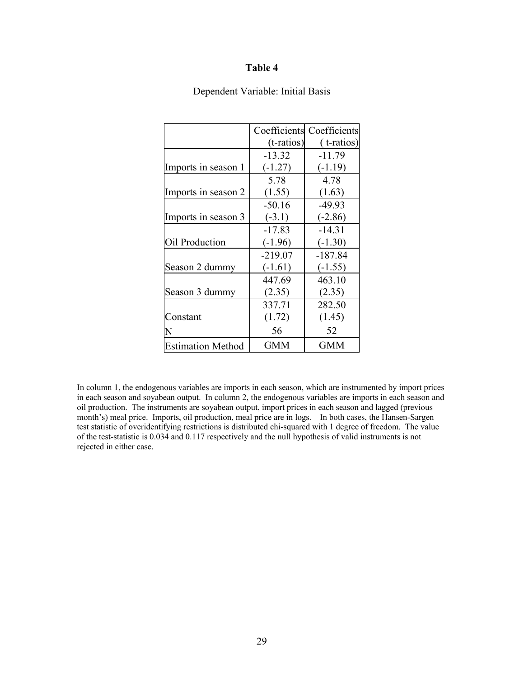|                          |            | Coefficients Coefficients |
|--------------------------|------------|---------------------------|
|                          | (t-ratios) | (t-ratios)                |
|                          | $-13.32$   | $-11.79$                  |
| Imports in season 1      | $(-1.27)$  | $(-1.19)$                 |
|                          | 5.78       | 4.78                      |
| Imports in season 2      | (1.55)     | (1.63)                    |
|                          | $-50.16$   | $-49.93$                  |
| Imports in season 3      | $(-3.1)$   | $(-2.86)$                 |
|                          | $-17.83$   | $-14.31$                  |
| Oil Production           | $(-1.96)$  | $(-1.30)$                 |
|                          | $-219.07$  | $-187.84$                 |
| Season 2 dummy           | $(-1.61)$  | $(-1.55)$                 |
|                          | 447.69     | 463.10                    |
| Season 3 dummy           | (2.35)     | (2.35)                    |
|                          | 337.71     | 282.50                    |
| Constant                 | (1.72)     | (1.45)                    |
| N                        | 56         | 52                        |
| <b>Estimation Method</b> | <b>GMM</b> | <b>GMM</b>                |

## Dependent Variable: Initial Basis

In column 1, the endogenous variables are imports in each season, which are instrumented by import prices in each season and soyabean output. In column 2, the endogenous variables are imports in each season and oil production. The instruments are soyabean output, import prices in each season and lagged (previous month's) meal price. Imports, oil production, meal price are in logs. In both cases, the Hansen-Sargen test statistic of overidentifying restrictions is distributed chi-squared with 1 degree of freedom. The value of the test-statistic is 0.034 and 0.117 respectively and the null hypothesis of valid instruments is not rejected in either case.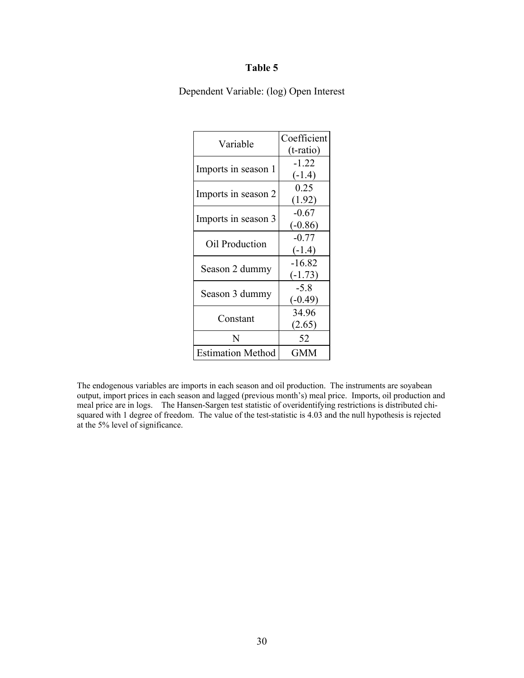Dependent Variable: (log) Open Interest

| Variable                 | Coefficient<br>$(t$ -ratio) |
|--------------------------|-----------------------------|
| Imports in season 1      | $-1.22$                     |
| Imports in season 2      | $(-1.4)$<br>0.25            |
|                          | (1.92)<br>$-0.67$           |
| Imports in season 3      | $(-0.86)$                   |
| Oil Production           | $-0.77$<br>$(-1.4)$         |
| Season 2 dummy           | $-16.82$<br>$(-1.73)$       |
| Season 3 dummy           | $-5.8$<br>$(-0.49)$         |
| Constant                 | 34.96<br>(2.65)             |
| N                        | 52                          |
| <b>Estimation Method</b> | <b>GMM</b>                  |

The endogenous variables are imports in each season and oil production. The instruments are soyabean output, import prices in each season and lagged (previous month's) meal price. Imports, oil production and meal price are in logs. The Hansen-Sargen test statistic of overidentifying restrictions is distributed chisquared with 1 degree of freedom. The value of the test-statistic is 4.03 and the null hypothesis is rejected at the 5% level of significance.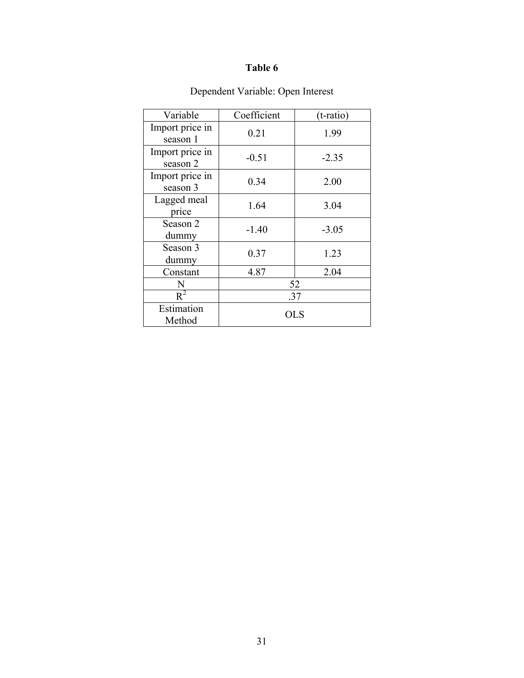| Variable                    | Coefficient | $(t$ -ratio) |  |
|-----------------------------|-------------|--------------|--|
| Import price in<br>season 1 | 0.21        | 1.99         |  |
| Import price in<br>season 2 | $-0.51$     | $-2.35$      |  |
| Import price in<br>season 3 | 0.34        | 2.00         |  |
| Lagged meal<br>price        | 1.64        | 3.04         |  |
| Season 2<br>dummy           | $-1.40$     | $-3.05$      |  |
| Season 3<br>dummy           | 0.37        | 1.23         |  |
| Constant                    | 4.87        | 2.04         |  |
| N                           | 52          |              |  |
| $R^2$                       | .37         |              |  |
| Estimation<br>Method        | OLS         |              |  |

## Dependent Variable: Open Interest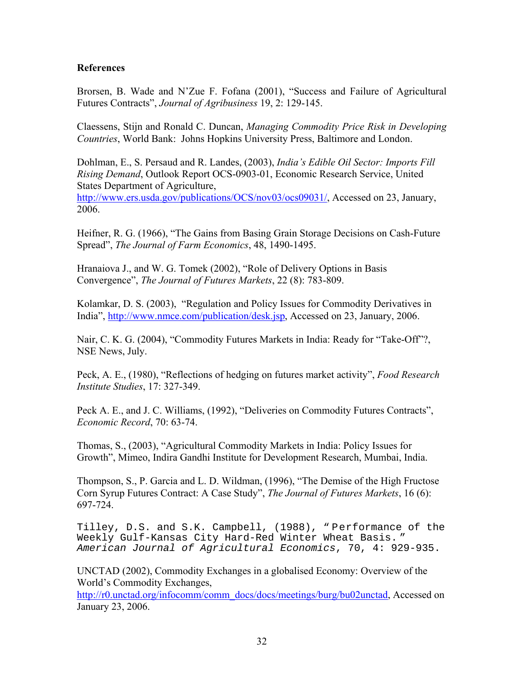#### **References**

Brorsen, B. Wade and N'Zue F. Fofana (2001), "Success and Failure of Agricultural Futures Contracts", *Journal of Agribusiness* 19, 2: 129-145.

Claessens, Stijn and Ronald C. Duncan, *Managing Commodity Price Risk in Developing Countries*, World Bank: Johns Hopkins University Press, Baltimore and London.

Dohlman, E., S. Persaud and R. Landes, (2003), *India's Edible Oil Sector: Imports Fill Rising Demand*, Outlook Report OCS-0903-01, Economic Research Service, United States Department of Agriculture,

<http://www.ers.usda.gov/publications/OCS/nov03/ocs09031/>, Accessed on 23, January, 2006.

Heifner, R. G. (1966), "The Gains from Basing Grain Storage Decisions on Cash-Future Spread", *The Journal of Farm Economics*, 48, 1490-1495.

Hranaiova J., and W. G. Tomek (2002), "Role of Delivery Options in Basis Convergence", *The Journal of Futures Markets*, 22 (8): 783-809.

Kolamkar, D. S. (2003), "Regulation and Policy Issues for Commodity Derivatives in India",<http://www.nmce.com/publication/desk.jsp>, Accessed on 23, January, 2006.

Nair, C. K. G. (2004), "Commodity Futures Markets in India: Ready for "Take-Off"?, NSE News, July.

Peck, A. E., (1980), "Reflections of hedging on futures market activity", *Food Research Institute Studies*, 17: 327-349.

Peck A. E., and J. C. Williams, (1992), "Deliveries on Commodity Futures Contracts", *Economic Record*, 70: 63-74.

Thomas, S., (2003), "Agricultural Commodity Markets in India: Policy Issues for Growth", Mimeo, Indira Gandhi Institute for Development Research, Mumbai, India.

Thompson, S., P. Garcia and L. D. Wildman, (1996), "The Demise of the High Fructose Corn Syrup Futures Contract: A Case Study", *The Journal of Futures Markets*, 16 (6): 697-724.

Tilley, D.S. and S.K. Campbell, (1988), " Performance of the Weekly Gulf-Kansas City Hard-Red Winter Wheat Basis. " *American Journal of Agricultural Economics*, 70, 4: 929-935.

UNCTAD (2002), Commodity Exchanges in a globalised Economy: Overview of the World's Commodity Exchanges,

[http://r0.unctad.org/infocomm/comm\\_docs/docs/meetings/burg/bu02unctad](http://r0.unctad.org/infocomm/comm_docs/docs/meetings/burg/bu02unctad), Accessed on January 23, 2006.